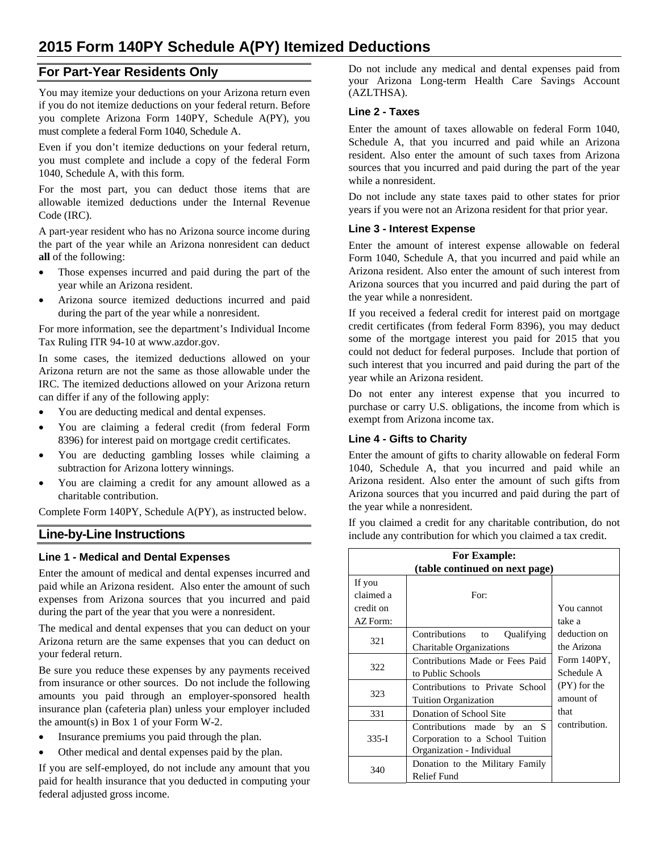# **2015 Form 140PY Schedule A(PY) Itemized Deductions**

# **For Part-Year Residents Only**

You may itemize your deductions on your Arizona return even if you do not itemize deductions on your federal return. Before you complete Arizona Form 140PY, Schedule A(PY), you must complete a federal Form 1040, Schedule A.

Even if you don't itemize deductions on your federal return, you must complete and include a copy of the federal Form 1040, Schedule A, with this form.

For the most part, you can deduct those items that are allowable itemized deductions under the Internal Revenue Code (IRC).

A part-year resident who has no Arizona source income during the part of the year while an Arizona nonresident can deduct **all** of the following:

- Those expenses incurred and paid during the part of the year while an Arizona resident.
- Arizona source itemized deductions incurred and paid during the part of the year while a nonresident.

For more information, see the department's Individual Income Tax Ruling ITR 94-10 at www.azdor.gov.

In some cases, the itemized deductions allowed on your Arizona return are not the same as those allowable under the IRC. The itemized deductions allowed on your Arizona return can differ if any of the following apply:

- You are deducting medical and dental expenses.
- You are claiming a federal credit (from federal Form 8396) for interest paid on mortgage credit certificates.
- You are deducting gambling losses while claiming a subtraction for Arizona lottery winnings.
- You are claiming a credit for any amount allowed as a charitable contribution.

Complete Form 140PY, Schedule A(PY), as instructed below.

### **Line-by-Line Instructions**

#### **Line 1 - Medical and Dental Expenses**

Enter the amount of medical and dental expenses incurred and paid while an Arizona resident. Also enter the amount of such expenses from Arizona sources that you incurred and paid during the part of the year that you were a nonresident.

The medical and dental expenses that you can deduct on your Arizona return are the same expenses that you can deduct on your federal return.

Be sure you reduce these expenses by any payments received from insurance or other sources. Do not include the following amounts you paid through an employer-sponsored health insurance plan (cafeteria plan) unless your employer included the amount(s) in Box 1 of your Form W-2.

- Insurance premiums you paid through the plan.
- Other medical and dental expenses paid by the plan.

If you are self-employed, do not include any amount that you paid for health insurance that you deducted in computing your federal adjusted gross income.

Do not include any medical and dental expenses paid from your Arizona Long-term Health Care Savings Account (AZLTHSA).

#### **Line 2 - Taxes**

Enter the amount of taxes allowable on federal Form 1040, Schedule A, that you incurred and paid while an Arizona resident. Also enter the amount of such taxes from Arizona sources that you incurred and paid during the part of the year while a nonresident.

Do not include any state taxes paid to other states for prior years if you were not an Arizona resident for that prior year.

#### **Line 3 - Interest Expense**

Enter the amount of interest expense allowable on federal Form 1040, Schedule A, that you incurred and paid while an Arizona resident. Also enter the amount of such interest from Arizona sources that you incurred and paid during the part of the year while a nonresident.

If you received a federal credit for interest paid on mortgage credit certificates (from federal Form 8396), you may deduct some of the mortgage interest you paid for 2015 that you could not deduct for federal purposes. Include that portion of such interest that you incurred and paid during the part of the year while an Arizona resident.

Do not enter any interest expense that you incurred to purchase or carry U.S. obligations, the income from which is exempt from Arizona income tax.

#### **Line 4 - Gifts to Charity**

Enter the amount of gifts to charity allowable on federal Form 1040, Schedule A, that you incurred and paid while an Arizona resident. Also enter the amount of such gifts from Arizona sources that you incurred and paid during the part of the year while a nonresident.

If you claimed a credit for any charitable contribution, do not include any contribution for which you claimed a tax credit.

| <b>For Example:</b>            |                                   |               |
|--------------------------------|-----------------------------------|---------------|
| (table continued on next page) |                                   |               |
| If you                         |                                   |               |
| claimed a                      | For:                              |               |
| credit on                      |                                   | You cannot    |
| AZ Form:                       |                                   | take a        |
| 321                            | Contributions<br>Qualifying<br>to | deduction on  |
|                                | <b>Charitable Organizations</b>   | the Arizona   |
| 322                            | Contributions Made or Fees Paid   | Form 140PY,   |
|                                | to Public Schools                 | Schedule A    |
| 323                            | Contributions to Private School   | (PY) for the  |
|                                | <b>Tuition Organization</b>       | amount of     |
| 331                            | Donation of School Site           | that          |
| $335-I$                        | S<br>Contributions made by an     | contribution. |
|                                | Corporation to a School Tuition   |               |
|                                | Organization - Individual         |               |
| 340                            | Donation to the Military Family   |               |
|                                | Relief Fund                       |               |